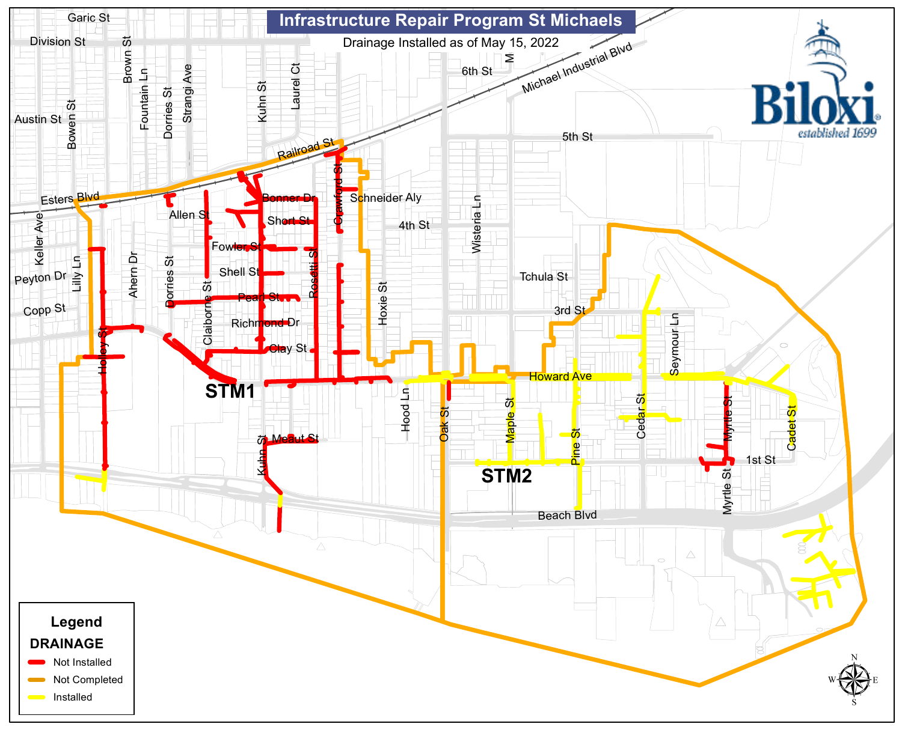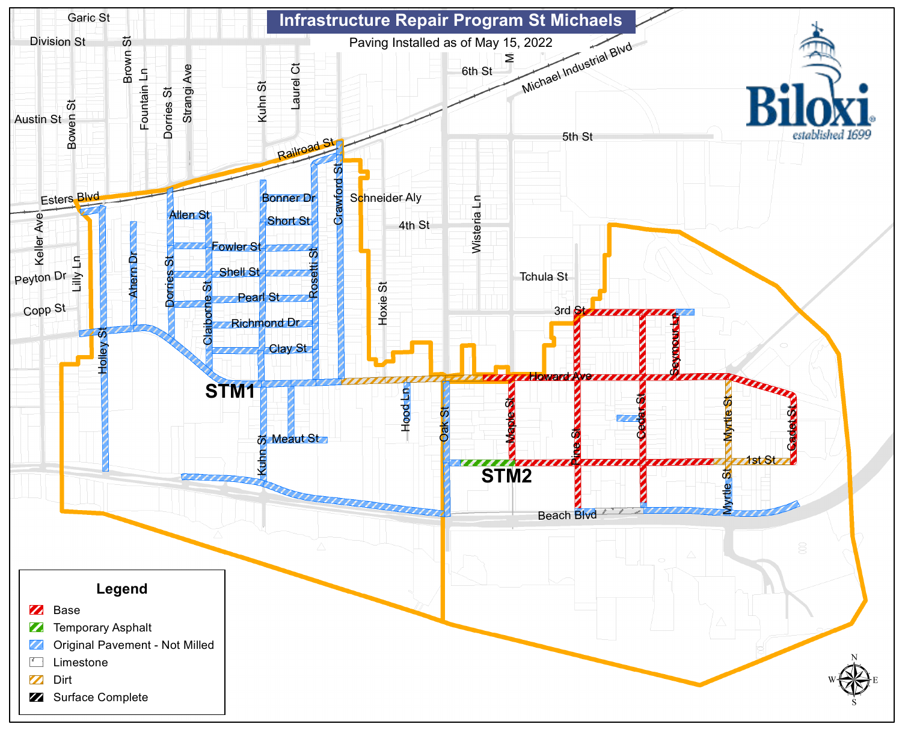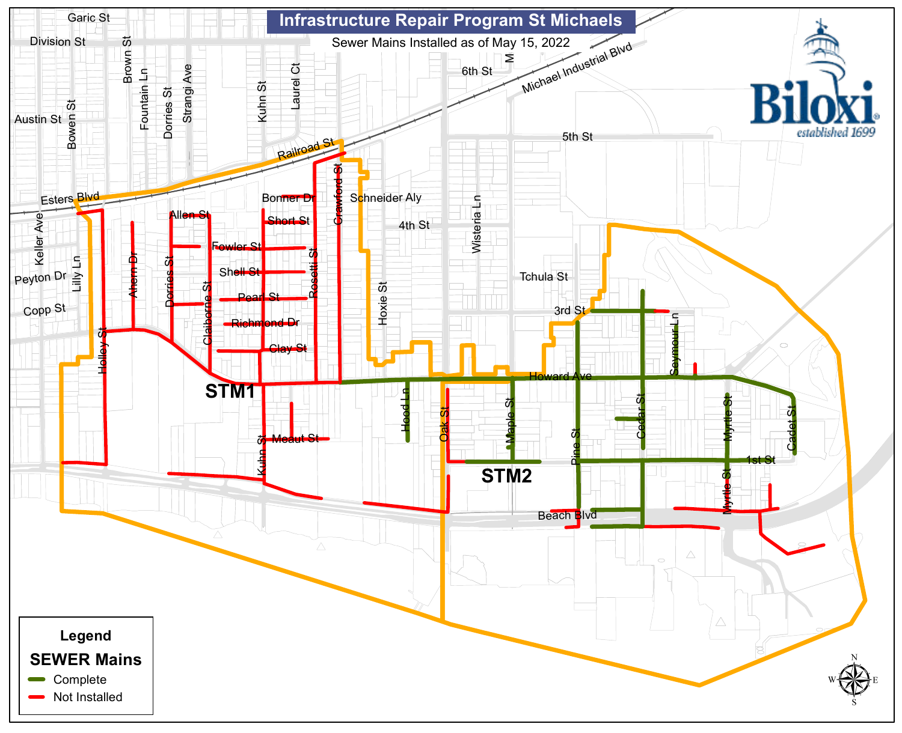